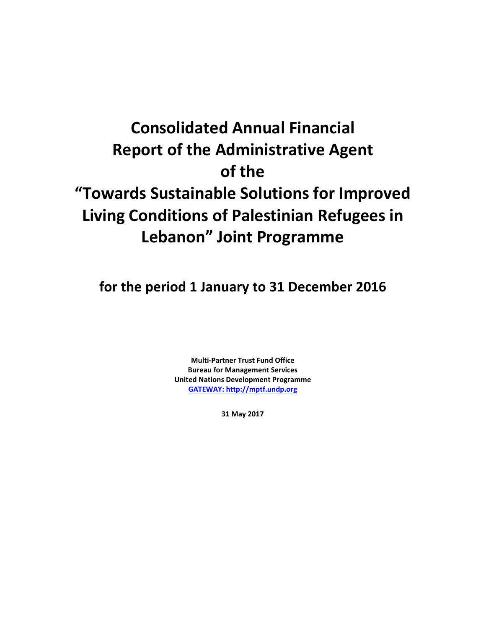# **Consolidated Annual Financial Report of the Administrative Agent of the "Towards Sustainable Solutions for Improved Living Conditions of Palestinian Refugees in Lebanon" Joint Programme**

**for the period 1 January to 31 December 2016**

**Multi-Partner Trust Fund Office Bureau for Management Services United Nations Development Programme [GATEWAY: http://mptf.undp.org](http://mptf.undp.org/)**

**31 May 2017**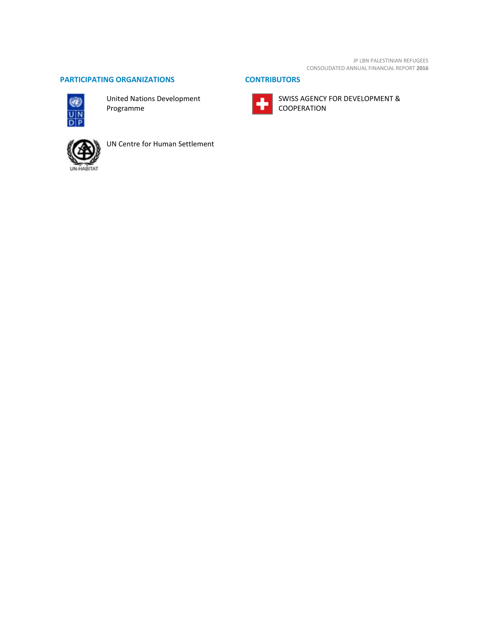JP LBN PALESTINIAN REFUGEES CONSOLIDATED ANNUAL FINANCIAL REPORT **2016**

SWISS AGENCY FOR DEVELOPMENT &

COOPERATION

 $\overline{\bullet}$ 

# **PARTICIPATING ORGANIZATIONS CONTRIBUTORS**



United Nations Development Programme



UN Centre for Human Settlement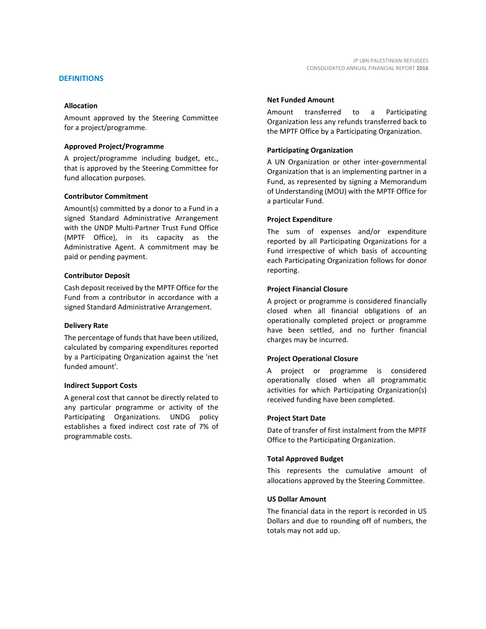Amount approved by the Steering Committee for a project/programme.

#### **Approved Project/Programme**

A project/programme including budget, etc., that is approved by the Steering Committee for fund allocation purposes.

#### **Contributor Commitment**

Amount(s) committed by a donor to a Fund in a signed Standard Administrative Arrangement with the UNDP Multi-Partner Trust Fund Office (MPTF Office), in its capacity as the Administrative Agent. A commitment may be paid or pending payment.

#### **Contributor Deposit**

Cash deposit received by the MPTF Office for the Fund from a contributor in accordance with a signed Standard Administrative Arrangement.

#### **Delivery Rate**

The percentage of funds that have been utilized, calculated by comparing expenditures reported by a Participating Organization against the 'net funded amount'.

## **Indirect Support Costs**

A general cost that cannot be directly related to any particular programme or activity of the Participating Organizations. UNDG policy establishes a fixed indirect cost rate of 7% of programmable costs.

#### **Net Funded Amount**

Amount transferred to a Participating Organization less any refunds transferred back to the MPTF Office by a Participating Organization.

## **Participating Organization**

A UN Organization or other inter-governmental Organization that is an implementing partner in a Fund, as represented by signing a Memorandum of Understanding (MOU) with the MPTF Office for a particular Fund.

## **Project Expenditure**

The sum of expenses and/or expenditure reported by all Participating Organizations for a Fund irrespective of which basis of accounting each Participating Organization follows for donor reporting.

## **Project Financial Closure**

A project or programme is considered financially closed when all financial obligations of an operationally completed project or programme have been settled, and no further financial charges may be incurred.

## **Project Operational Closure**

A project or programme is considered operationally closed when all programmatic activities for which Participating Organization(s) received funding have been completed.

#### **Project Start Date**

Date of transfer of first instalment from the MPTF Office to the Participating Organization.

## **Total Approved Budget**

This represents the cumulative amount of allocations approved by the Steering Committee.

#### **US Dollar Amount**

The financial data in the report is recorded in US Dollars and due to rounding off of numbers, the totals may not add up.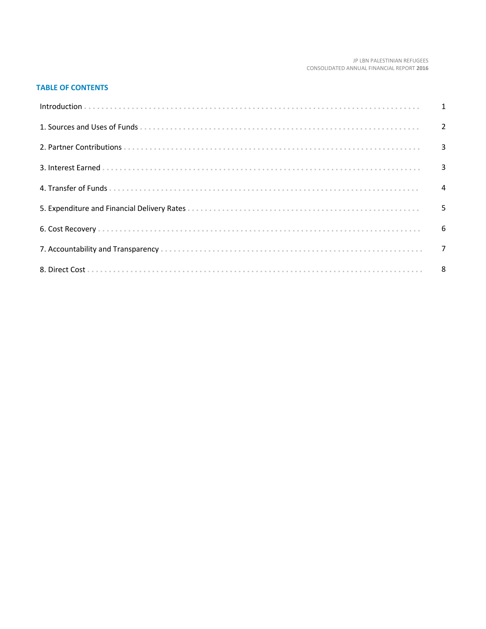#### JP LBN PALESTINIAN REFUGEES CONSOLIDATED ANNUAL FINANCIAL REPORT 2016

# **TABLE OF CONTENTS**

| Introduction 1 1 |   |
|------------------|---|
|                  |   |
|                  |   |
|                  |   |
|                  |   |
|                  | 5 |
|                  |   |
|                  |   |
|                  |   |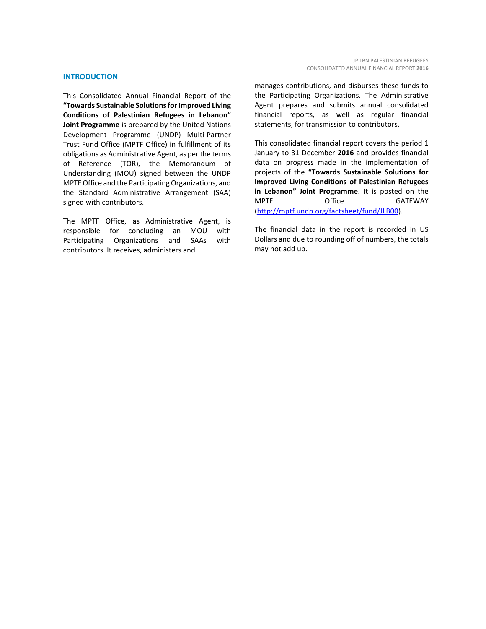#### **INTRODUCTION**

This Consolidated Annual Financial Report of the **"Towards Sustainable Solutions for Improved Living Conditions of Palestinian Refugees in Lebanon" Joint Programme** is prepared by the United Nations Development Programme (UNDP) Multi-Partner Trust Fund Office (MPTF Office) in fulfillment of its obligations as Administrative Agent, as per the terms of Reference (TOR), the Memorandum of Understanding (MOU) signed between the UNDP MPTF Office and the Participating Organizations, and the Standard Administrative Arrangement (SAA) signed with contributors.

The MPTF Office, as Administrative Agent, is responsible for concluding an MOU with Participating Organizations and SAAs with contributors. It receives, administers and

manages contributions, and disburses these funds to the Participating Organizations. The Administrative Agent prepares and submits annual consolidated financial reports, as well as regular financial statements, for transmission to contributors.

This consolidated financial report covers the period 1 January to 31 December **2016** and provides financial data on progress made in the implementation of projects of the **"Towards Sustainable Solutions for Improved Living Conditions of Palestinian Refugees in Lebanon" Joint Programme**. It is posted on the MPTF Office GATEWAY [\(http://mptf.undp.org/factsheet/fund/JLB00\)](http://mptf.undp.org/factsheet/fund/JLB00).

The financial data in the report is recorded in US Dollars and due to rounding off of numbers, the totals may not add up.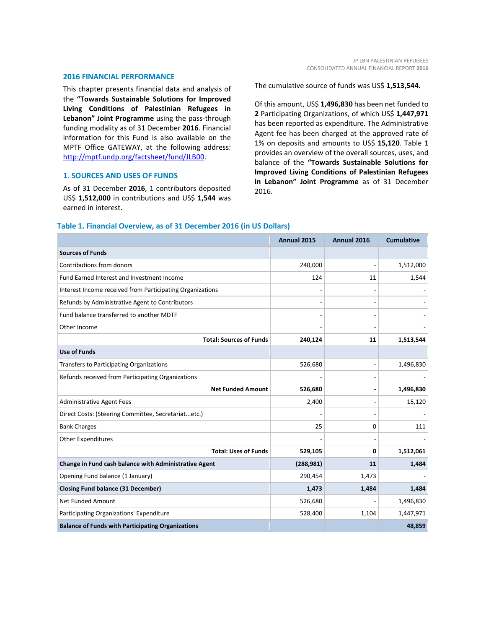#### **2016 FINANCIAL PERFORMANCE**

This chapter presents financial data and analysis of the **"Towards Sustainable Solutions for Improved Living Conditions of Palestinian Refugees in Lebanon" Joint Programme** using the pass-through funding modality as of 31 December **2016**. Financial information for this Fund is also available on the MPTF Office GATEWAY, at the following address: [http://mptf.undp.org/factsheet/fund/JLB00.](http://mptf.undp.org/factsheet/fund/JLB00)

## **1. SOURCES AND USES OF FUNDS**

As of 31 December **2016**, 1 contributors deposited US\$ **1,512,000** in contributions and US\$ **1,544** was earned in interest.

The cumulative source of funds was US\$ **1,513,544.**

Of this amount, US\$ **1,496,830** has been net funded to **2** Participating Organizations, of which US\$ **1,447,971** has been reported as expenditure. The Administrative Agent fee has been charged at the approved rate of 1% on deposits and amounts to US\$ **15,120**. Table 1 provides an overview of the overall sources, uses, and balance of the **"Towards Sustainable Solutions for Improved Living Conditions of Palestinian Refugees in Lebanon" Joint Programme** as of 31 December 2016.

| Table 1. Financial Overview, as of 31 December 2016 (in US Dollars) |  |  |  |
|---------------------------------------------------------------------|--|--|--|
|---------------------------------------------------------------------|--|--|--|

|                                                           | Annual 2015 | Annual 2016 | <b>Cumulative</b> |
|-----------------------------------------------------------|-------------|-------------|-------------------|
| <b>Sources of Funds</b>                                   |             |             |                   |
| Contributions from donors                                 | 240,000     |             | 1,512,000         |
| Fund Earned Interest and Investment Income                | 124         | 11          | 1,544             |
| Interest Income received from Participating Organizations |             |             |                   |
| Refunds by Administrative Agent to Contributors           |             |             |                   |
| Fund balance transferred to another MDTF                  |             |             |                   |
| Other Income                                              |             |             |                   |
| <b>Total: Sources of Funds</b>                            | 240,124     | 11          | 1,513,544         |
| <b>Use of Funds</b>                                       |             |             |                   |
| Transfers to Participating Organizations                  | 526,680     |             | 1,496,830         |
| Refunds received from Participating Organizations         |             |             |                   |
| <b>Net Funded Amount</b>                                  | 526,680     |             | 1,496,830         |
| Administrative Agent Fees                                 | 2,400       |             | 15,120            |
| Direct Costs: (Steering Committee, Secretariatetc.)       |             |             |                   |
| <b>Bank Charges</b>                                       | 25          | 0           | 111               |
| Other Expenditures                                        |             |             |                   |
| <b>Total: Uses of Funds</b>                               | 529,105     | 0           | 1,512,061         |
| Change in Fund cash balance with Administrative Agent     | (288, 981)  | 11          | 1,484             |
| Opening Fund balance (1 January)                          | 290,454     | 1,473       |                   |
| <b>Closing Fund balance (31 December)</b>                 | 1,473       | 1,484       | 1,484             |
| <b>Net Funded Amount</b>                                  | 526,680     |             | 1,496,830         |
| Participating Organizations' Expenditure                  | 528,400     | 1,104       | 1,447,971         |
| <b>Balance of Funds with Participating Organizations</b>  |             |             | 48,859            |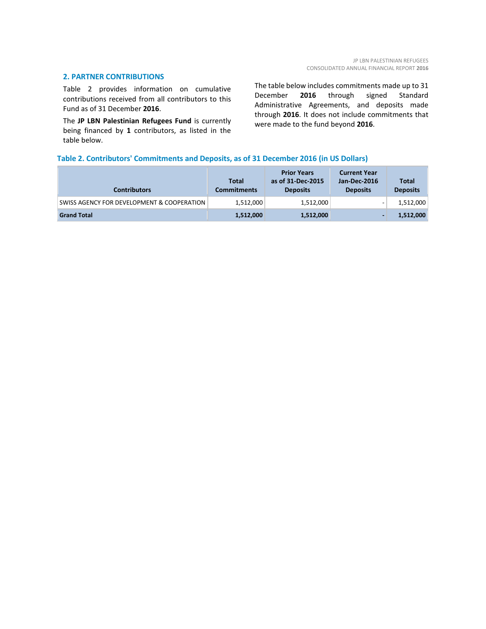#### **2. PARTNER CONTRIBUTIONS**

Table 2 provides information on cumulative contributions received from all contributors to this Fund as of 31 December **2016**.

The **JP LBN Palestinian Refugees Fund** is currently being financed by **1** contributors, as listed in the table below.

The table below includes commitments made up to 31 December **2016** through signed Standard Administrative Agreements, and deposits made through **2016**. It does not include commitments that were made to the fund beyond **2016**.

## **Table 2. Contributors' Commitments and Deposits, as of 31 December 2016 (in US Dollars)**

| <b>Contributors</b>                        | Total<br><b>Commitments</b> | <b>Prior Years</b><br>as of 31-Dec-2015<br><b>Deposits</b> | <b>Current Year</b><br>Jan-Dec-2016<br><b>Deposits</b> | Total<br><b>Deposits</b> |
|--------------------------------------------|-----------------------------|------------------------------------------------------------|--------------------------------------------------------|--------------------------|
| SWISS AGENCY FOR DEVELOPMENT & COOPERATION | 1,512,000                   | 1,512,000                                                  | -                                                      | 1,512,000                |
| <b>Grand Total</b>                         | 1,512,000                   | 1,512,000                                                  |                                                        | 1,512,000                |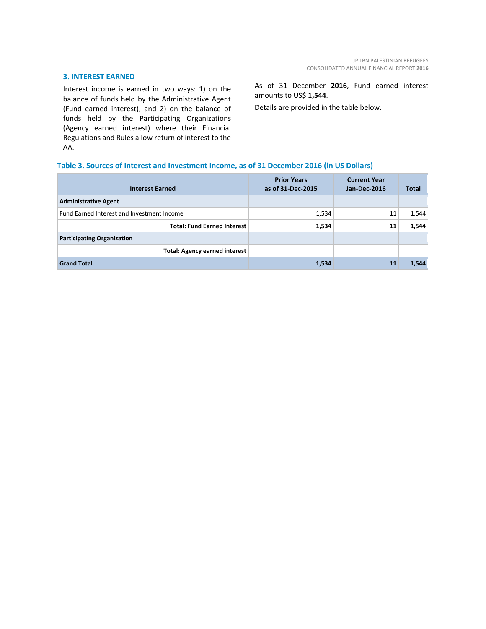## **3. INTEREST EARNED**

Interest income is earned in two ways: 1) on the balance of funds held by the Administrative Agent (Fund earned interest), and 2) on the balance of funds held by the Participating Organizations (Agency earned interest) where their Financial Regulations and Rules allow return of interest to the AA.

As of 31 December **2016**, Fund earned interest amounts to US\$ **1,544**.

Details are provided in the table below.

# **Table 3. Sources of Interest and Investment Income, as of 31 December 2016 (in US Dollars)**

| <b>Interest Earned</b>                     | <b>Prior Years</b><br>as of 31-Dec-2015 | <b>Current Year</b><br><b>Jan-Dec-2016</b> | <b>Total</b> |
|--------------------------------------------|-----------------------------------------|--------------------------------------------|--------------|
| <b>Administrative Agent</b>                |                                         |                                            |              |
| Fund Earned Interest and Investment Income | 1,534                                   | 11                                         | 1,544        |
| <b>Total: Fund Earned Interest</b>         | 1,534                                   | 11                                         | 1,544        |
| <b>Participating Organization</b>          |                                         |                                            |              |
| <b>Total: Agency earned interest</b>       |                                         |                                            |              |
| <b>Grand Total</b>                         | 1,534                                   | 11                                         | 1,544        |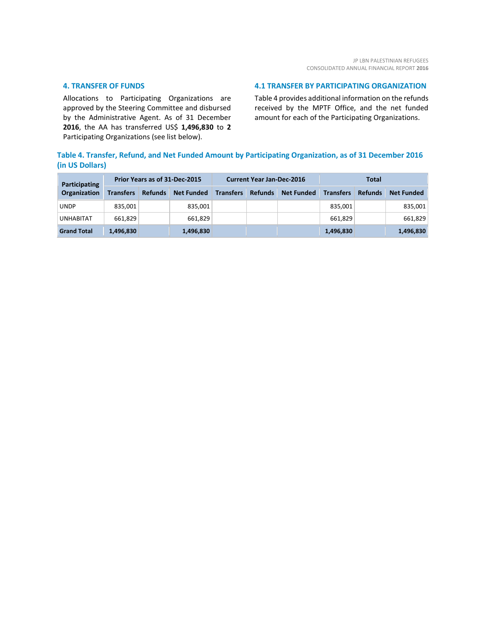## **4. TRANSFER OF FUNDS**

Allocations to Participating Organizations are approved by the Steering Committee and disbursed by the Administrative Agent. As of 31 December **2016**, the AA has transferred US\$ **1,496,830** to **2** Participating Organizations (see list below).

## **4.1 TRANSFER BY PARTICIPATING ORGANIZATION**

Table 4 provides additional information on the refunds received by the MPTF Office, and the net funded amount for each of the Participating Organizations.

# **Table 4. Transfer, Refund, and Net Funded Amount by Participating Organization, as of 31 December 2016 (in US Dollars)**

| <b>Participating</b> |                  | Prior Years as of 31-Dec-2015 |                   |                  | Total<br><b>Current Year Jan-Dec-2016</b> |                   |                  |                |                   |
|----------------------|------------------|-------------------------------|-------------------|------------------|-------------------------------------------|-------------------|------------------|----------------|-------------------|
| Organization         | <b>Transfers</b> | <b>Refunds</b>                | <b>Net Funded</b> | <b>Transfers</b> | <b>Refunds</b>                            | <b>Net Funded</b> | <b>Transfers</b> | <b>Refunds</b> | <b>Net Funded</b> |
| UNDP                 | 835,001          |                               | 835,001           |                  |                                           |                   | 835,001          |                | 835,001           |
| <b>UNHABITAT</b>     | 661,829          |                               | 661,829           |                  |                                           |                   | 661,829          |                | 661,829           |
| <b>Grand Total</b>   | 1,496,830        |                               | 1,496,830         |                  |                                           |                   | 1,496,830        |                | 1,496,830         |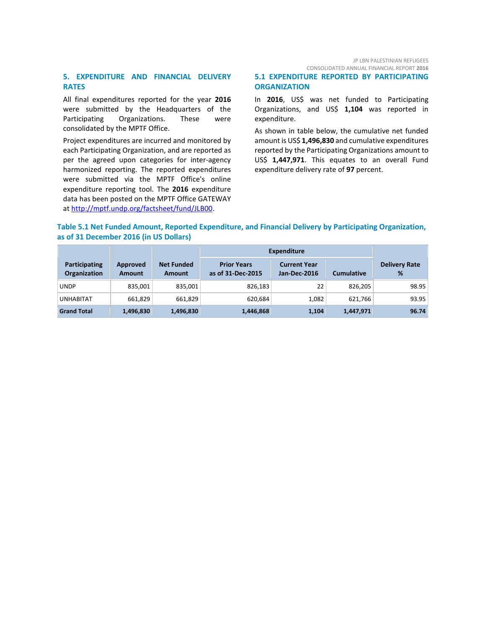JP LBN PALESTINIAN REFUGEES CONSOLIDATED ANNUAL FINANCIAL REPORT **2016**

## **5. EXPENDITURE AND FINANCIAL DELIVERY RATES**

All final expenditures reported for the year **2016** were submitted by the Headquarters of the Participating Organizations. These were consolidated by the MPTF Office.

Project expenditures are incurred and monitored by each Participating Organization, and are reported as per the agreed upon categories for inter-agency harmonized reporting. The reported expenditures were submitted via the MPTF Office's online expenditure reporting tool. The **2016** expenditure data has been posted on the MPTF Office GATEWAY at [http://mptf.undp.org/factsheet/fund/JLB00.](http://mptf.undp.org/factsheet/fund/JLB00)

# **5.1 EXPENDITURE REPORTED BY PARTICIPATING ORGANIZATION**

In **2016**, US\$ was net funded to Participating Organizations, and US\$ **1,104** was reported in expenditure.

As shown in table below, the cumulative net funded amount is US\$ **1,496,830** and cumulative expenditures reported by the Participating Organizations amount to US\$ **1,447,971**. This equates to an overall Fund expenditure delivery rate of **97** percent.

# **Table 5.1 Net Funded Amount, Reported Expenditure, and Financial Delivery by Participating Organization, as of 31 December 2016 (in US Dollars)**

|                                             |                           |                                    | <b>Expenditure</b>                      |                                     |                   |                           |
|---------------------------------------------|---------------------------|------------------------------------|-----------------------------------------|-------------------------------------|-------------------|---------------------------|
| <b>Participating</b><br><b>Organization</b> | Approved<br><b>Amount</b> | <b>Net Funded</b><br><b>Amount</b> | <b>Prior Years</b><br>as of 31-Dec-2015 | <b>Current Year</b><br>Jan-Dec-2016 | <b>Cumulative</b> | <b>Delivery Rate</b><br>% |
| <b>UNDP</b>                                 | 835,001                   | 835,001                            | 826,183                                 | 22                                  | 826.205           | 98.95                     |
| <b>UNHABITAT</b>                            | 661,829                   | 661,829                            | 620,684                                 | 1,082                               | 621.766           | 93.95                     |
| <b>Grand Total</b>                          | 1,496,830                 | 1,496,830                          | 1,446,868                               | 1,104                               | 1,447,971         | 96.74                     |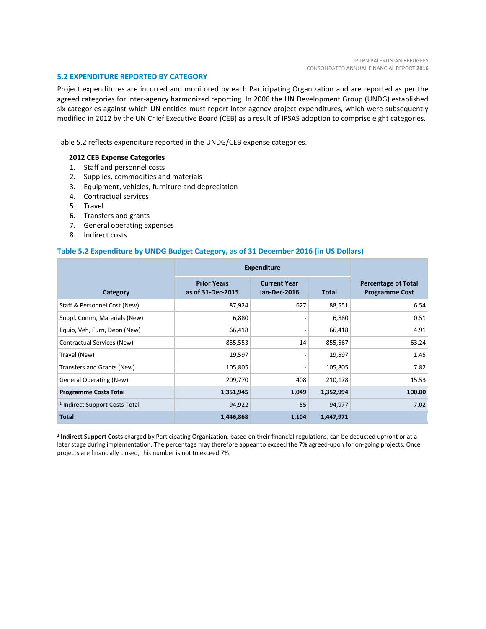## **5.2 EXPENDITURE REPORTED BY CATEGORY**

Project expenditures are incurred and monitored by each Participating Organization and are reported as per the agreed categories for inter-agency harmonized reporting. In 2006 the UN Development Group (UNDG) established six categories against which UN entities must report inter-agency project expenditures, which were subsequently modified in 2012 by the UN Chief Executive Board (CEB) as a result of IPSAS adoption to comprise eight categories.

Table 5.2 reflects expenditure reported in the UNDG/CEB expense categories.

# **2012 CEB Expense Categories**

- 1. Staff and personnel costs
- 2. Supplies, commodities and materials
- 3. Equipment, vehicles, furniture and depreciation
- 4. Contractual services
- 5. Travel
- 6. Transfers and grants
- 7. General operating expenses
- 8. Indirect costs

\_\_\_\_\_\_\_\_\_\_\_\_\_\_\_\_\_\_\_\_\_\_

## **Table 5.2 Expenditure by UNDG Budget Category, as of 31 December 2016 (in US Dollars)**

|                                           | <b>Expenditure</b>                      |                                            |              |                                                     |
|-------------------------------------------|-----------------------------------------|--------------------------------------------|--------------|-----------------------------------------------------|
| Category                                  | <b>Prior Years</b><br>as of 31-Dec-2015 | <b>Current Year</b><br><b>Jan-Dec-2016</b> | <b>Total</b> | <b>Percentage of Total</b><br><b>Programme Cost</b> |
| Staff & Personnel Cost (New)              | 87,924                                  | 627                                        | 88,551       | 6.54                                                |
| Suppl, Comm, Materials (New)              | 6,880                                   |                                            | 6,880        | 0.51                                                |
| Equip, Veh, Furn, Depn (New)              | 66,418                                  |                                            | 66,418       | 4.91                                                |
| Contractual Services (New)                | 855,553                                 | 14                                         | 855,567      | 63.24                                               |
| Travel (New)                              | 19,597                                  |                                            | 19,597       | 1.45                                                |
| Transfers and Grants (New)                | 105,805                                 |                                            | 105,805      | 7.82                                                |
| <b>General Operating (New)</b>            | 209,770                                 | 408                                        | 210,178      | 15.53                                               |
| <b>Programme Costs Total</b>              | 1,351,945                               | 1,049                                      | 1,352,994    | 100.00                                              |
| <sup>1</sup> Indirect Support Costs Total | 94,922                                  | 55                                         | 94,977       | 7.02                                                |
| <b>Total</b>                              | 1,446,868                               | 1,104                                      | 1,447,971    |                                                     |

**<sup>1</sup> Indirect Support Costs** charged by Participating Organization, based on their financial regulations, can be deducted upfront or at a later stage during implementation. The percentage may therefore appear to exceed the 7% agreed-upon for on-going projects. Once projects are financially closed, this number is not to exceed 7%.